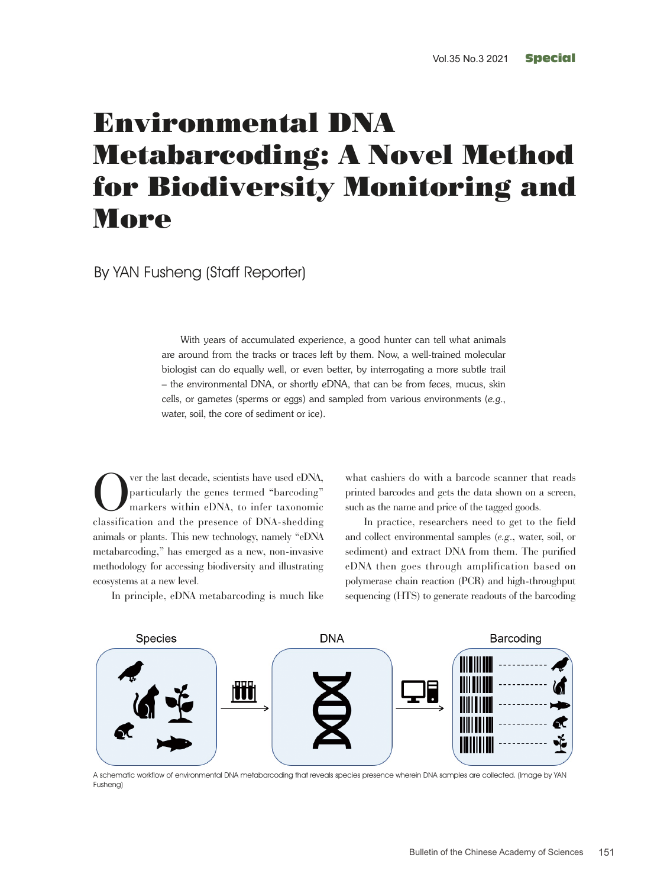# Environmental DNA Metabarcoding: A Novel Method for Biodiversity Monitoring and **More**

By YAN Fusheng (Staff Reporter)

With years of accumulated experience, a good hunter can tell what animals are around from the tracks or traces left by them. Now, a well-trained molecular biologist can do equally well, or even better, by interrogating a more subtle trail – the environmental DNA, or shortly eDNA, that can be from feces, mucus, skin cells, or gametes (sperms or eggs) and sampled from various environments (*e.g*., water, soil, the core of sediment or ice).

Over the last decade, scientists have used eDNA,<br>particularly the genes termed "barcoding"<br>markers within eDNA, to infer taxonomic<br>eleccification and the presence of DNA shadding particularly the genes termed "barcoding" markers within eDNA, to infer taxonomic classification and the presence of DNA-shedding animals or plants. This new technology, namely "eDNA metabarcoding," has emerged as a new, non-invasive methodology for accessing biodiversity and illustrating ecosystems at a new level.

what cashiers do with a barcode scanner that reads printed barcodes and gets the data shown on a screen, such as the name and price of the tagged goods.

In practice, researchers need to get to the field and collect environmental samples (*e.g*., water, soil, or sediment) and extract DNA from them. The purified eDNA then goes through amplification based on polymerase chain reaction (PCR) and high-throughput sequencing (HTS) to generate readouts of the barcoding





A schematic workflow of environmental DNA metabarcoding that reveals species presence wherein DNA samples are collected. (Image by YAN Fusheng)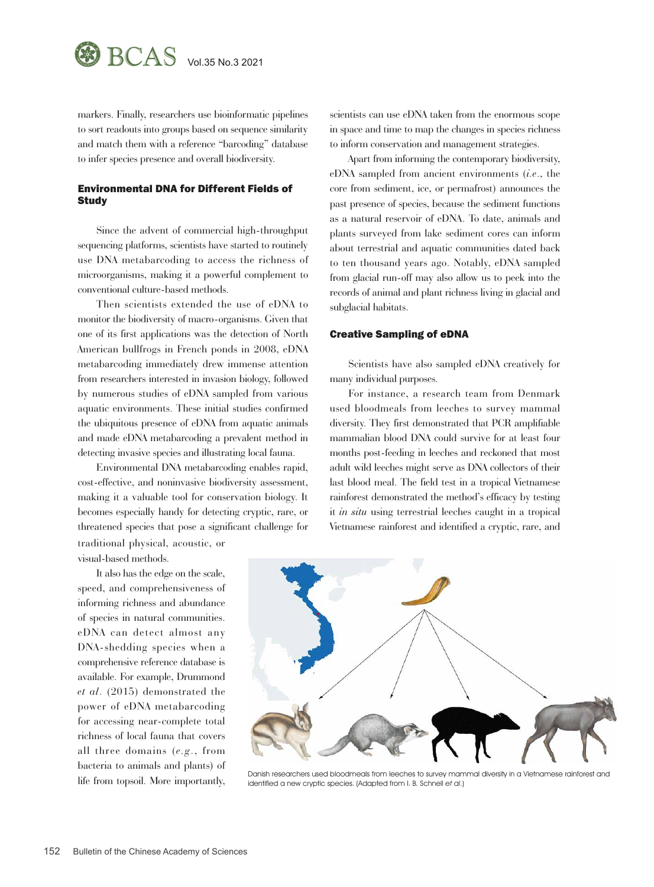

markers. Finally, researchers use bioinformatic pipelines to sort readouts into groups based on sequence similarity and match them with a reference "barcoding" database to infer species presence and overall biodiversity.

## Environmental DNA for Different Fields of **Study**

Since the advent of commercial high-throughput sequencing platforms, scientists have started to routinely use DNA metabarcoding to access the richness of microorganisms, making it a powerful complement to conventional culture-based methods.

Then scientists extended the use of eDNA to monitor the biodiversity of macro-organisms. Given that one of its first applications was the detection of North American bullfrogs in French ponds in 2008, eDNA metabarcoding immediately drew immense attention from researchers interested in invasion biology, followed by numerous studies of eDNA sampled from various aquatic environments. These initial studies confirmed the ubiquitous presence of eDNA from aquatic animals and made eDNA metabarcoding a prevalent method in detecting invasive species and illustrating local fauna.

Environmental DNA metabarcoding enables rapid, cost-effective, and noninvasive biodiversity assessment, making it a valuable tool for conservation biology. It becomes especially handy for detecting cryptic, rare, or threatened species that pose a significant challenge for traditional physical, acoustic, or

visual-based methods.

It also has the edge on the scale, speed, and comprehensiveness of informing richness and abundance of species in natural communities. eDNA can detect almost any DNA-shedding species when a comprehensive reference database is available. For example, Drummond *et al*. (2015) demonstrated the power of eDNA metabarcoding for accessing near-complete total richness of local fauna that covers all three domains (*e.g*., from bacteria to animals and plants) of life from topsoil. More importantly, scientists can use eDNA taken from the enormous scope in space and time to map the changes in species richness to inform conservation and management strategies.

Apart from informing the contemporary biodiversity, eDNA sampled from ancient environments (*i.e*., the core from sediment, ice, or permafrost) announces the past presence of species, because the sediment functions as a natural reservoir of eDNA. To date, animals and plants surveyed from lake sediment cores can inform about terrestrial and aquatic communities dated back to ten thousand years ago. Notably, eDNA sampled from glacial run-off may also allow us to peek into the records of animal and plant richness living in glacial and subglacial habitats.

## Creative Sampling of eDNA

Scientists have also sampled eDNA creatively for many individual purposes.

For instance, a research team from Denmark used bloodmeals from leeches to survey mammal diversity. They first demonstrated that PCR amplifiable mammalian blood DNA could survive for at least four months post-feeding in leeches and reckoned that most adult wild leeches might serve as DNA collectors of their last blood meal. The field test in a tropical Vietnamese rainforest demonstrated the method's efficacy by testing it *in situ* using terrestrial leeches caught in a tropical Vietnamese rainforest and identified a cryptic, rare, and



Danish researchers used bloodmeals from leeches to survey mammal diversity in a Vietnamese rainforest and identified a new cryptic species. (Adapted from I. B. Schnell et al.)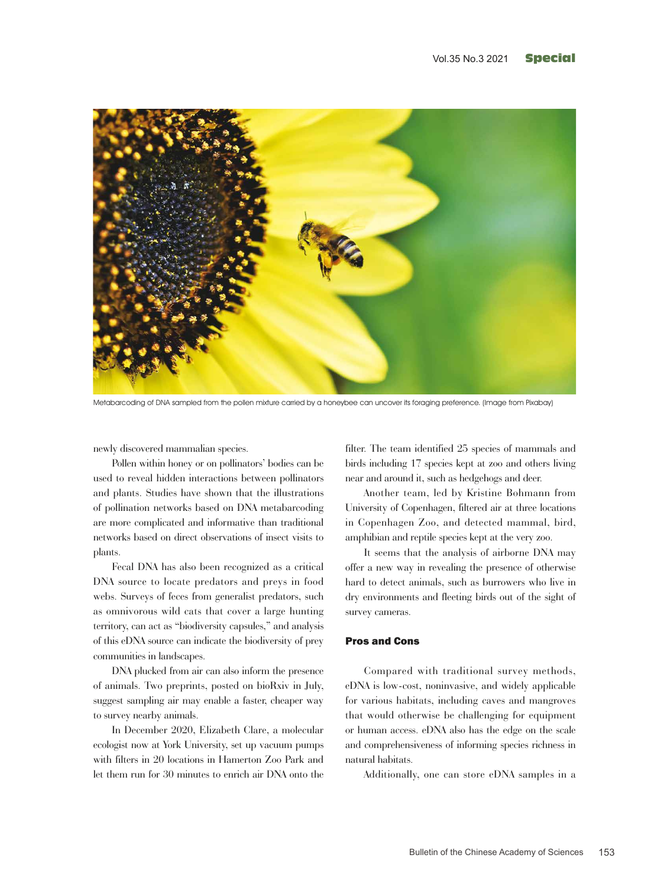

Metabarcoding of DNA sampled from the pollen mixture carried by a honeybee can uncover its foraging preference. (Image from Pixabay)

newly discovered mammalian species.

Pollen within honey or on pollinators' bodies can be used to reveal hidden interactions between pollinators and plants. Studies have shown that the illustrations of pollination networks based on DNA metabarcoding are more complicated and informative than traditional networks based on direct observations of insect visits to plants.

Fecal DNA has also been recognized as a critical DNA source to locate predators and preys in food webs. Surveys of feces from generalist predators, such as omnivorous wild cats that cover a large hunting territory, can act as "biodiversity capsules," and analysis of this eDNA source can indicate the biodiversity of prey communities in landscapes.

DNA plucked from air can also inform the presence of animals. Two preprints, posted on bioRxiv in July, suggest sampling air may enable a faster, cheaper way to survey nearby animals.

In December 2020, Elizabeth Clare, a molecular ecologist now at York University, set up vacuum pumps with filters in 20 locations in Hamerton Zoo Park and let them run for 30 minutes to enrich air DNA onto the

filter. The team identified 25 species of mammals and birds including 17 species kept at zoo and others living near and around it, such as hedgehogs and deer.

Another team, led by Kristine Bohmann from University of Copenhagen, filtered air at three locations in Copenhagen Zoo, and detected mammal, bird, amphibian and reptile species kept at the very zoo.

It seems that the analysis of airborne DNA may offer a new way in revealing the presence of otherwise hard to detect animals, such as burrowers who live in dry environments and fleeting birds out of the sight of survey cameras.

### Pros and Cons

Compared with traditional survey methods, eDNA is low-cost, noninvasive, and widely applicable for various habitats, including caves and mangroves that would otherwise be challenging for equipment or human access. eDNA also has the edge on the scale and comprehensiveness of informing species richness in natural habitats.

Additionally, one can store eDNA samples in a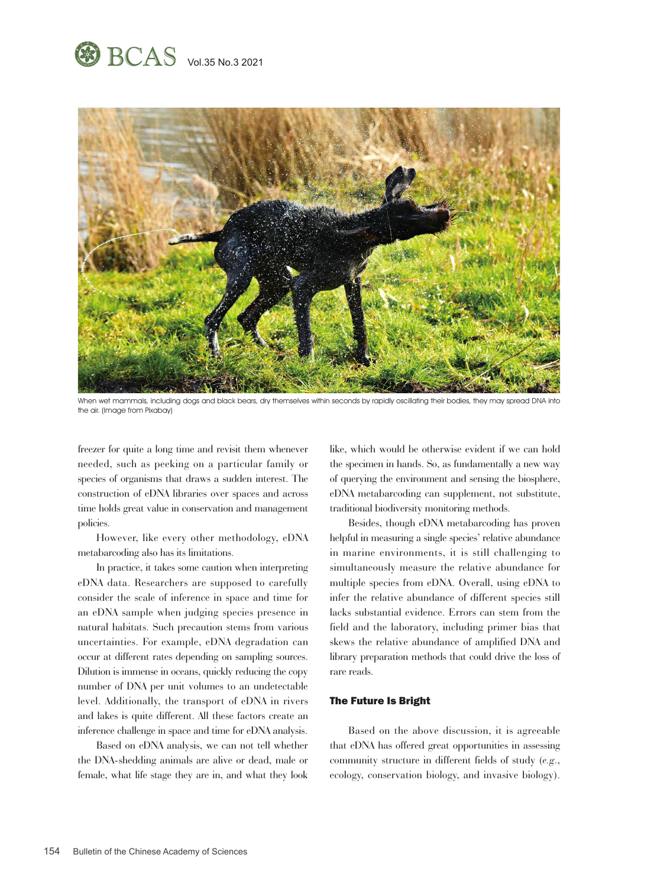



When wet mammals, including dogs and black bears, dry themselves within seconds by rapidly oscillating their bodies, they may spread DNA into the air. (Image from Pixabay)

freezer for quite a long time and revisit them whenever needed, such as peeking on a particular family or species of organisms that draws a sudden interest. The construction of eDNA libraries over spaces and across time holds great value in conservation and management policies.

However, like every other methodology, eDNA metabarcoding also has its limitations.

In practice, it takes some caution when interpreting eDNA data. Researchers are supposed to carefully consider the scale of inference in space and time for an eDNA sample when judging species presence in natural habitats. Such precaution stems from various uncertainties. For example, eDNA degradation can occur at different rates depending on sampling sources. Dilution is immense in oceans, quickly reducing the copy number of DNA per unit volumes to an undetectable level. Additionally, the transport of eDNA in rivers and lakes is quite different. All these factors create an inference challenge in space and time for eDNA analysis.

Based on eDNA analysis, we can not tell whether the DNA-shedding animals are alive or dead, male or female, what life stage they are in, and what they look like, which would be otherwise evident if we can hold the specimen in hands. So, as fundamentally a new way of querying the environment and sensing the biosphere, eDNA metabarcoding can supplement, not substitute, traditional biodiversity monitoring methods.

Besides, though eDNA metabarcoding has proven helpful in measuring a single species' relative abundance in marine environments, it is still challenging to simultaneously measure the relative abundance for multiple species from eDNA. Overall, using eDNA to infer the relative abundance of different species still lacks substantial evidence. Errors can stem from the field and the laboratory, including primer bias that skews the relative abundance of amplified DNA and library preparation methods that could drive the loss of rare reads.

## The Future Is Bright

Based on the above discussion, it is agreeable that eDNA has offered great opportunities in assessing community structure in different fields of study (*e.g*., ecology, conservation biology, and invasive biology).